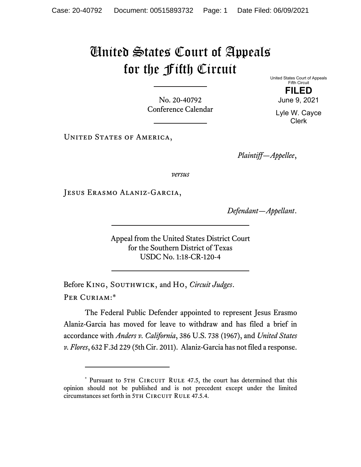## United States Court of Appeals for the Fifth Circuit

No. 20-40792 Conference Calendar United States Court of Appeals Fifth Circuit **FILED**  June 9, 2021

Lyle W. Cayce Clerk

UNITED STATES OF AMERICA,

*Plaintiff—Appellee*,

*versus*

Jesus Erasmo Alaniz-Garcia,

*Defendant—Appellant*.

Appeal from the United States District Court for the Southern District of Texas USDC No. 1:18-CR-120-4

Before King, Southwick, and Ho, *Circuit Judges*. Per Curiam:\*

The Federal Public Defender appointed to represent Jesus Erasmo Alaniz-Garcia has moved for leave to withdraw and has filed a brief in accordance with *Anders v. California*, 386 U.S. 738 (1967), and *United States v. Flores*, 632 F.3d 229 (5th Cir. 2011). Alaniz-Garcia has not filed a response.

<sup>\*</sup> Pursuant to 5TH CIRCUIT RULE 47.5, the court has determined that this opinion should not be published and is not precedent except under the limited circumstances set forth in 5TH CIRCUIT RULE 47.5.4.